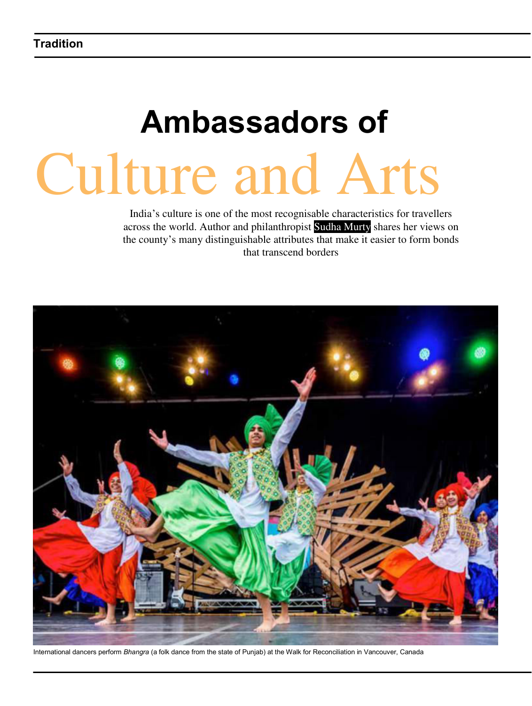## **Ambassadors of** Culture and Arts

India's culture is one of the most recognisable characteristics for travellers across the world. Author and philanthropist Sudha Murty shares her views on the county's many distinguishable attributes that make it easier to form bonds that transcend borders



International dancers perform *Bhangra* (a folk dance from the state of Punjab) at the Walk for Reconciliation in Vancouver, Canada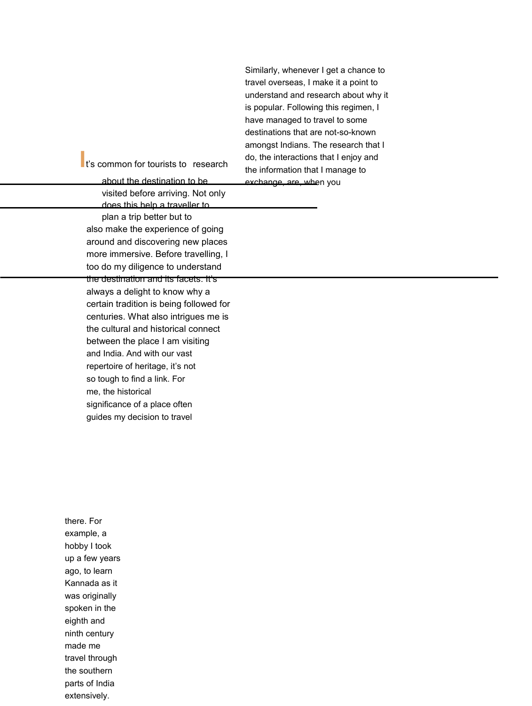Similarly, whenever I get a chance to travel overseas, I make it a point to understand and research about why it is popular. Following this regimen, I have managed to travel to some destinations that are not-so-known amongst Indians. The research that I do, the interactions that I enjoy and the information that I manage to exchange, are, when you

**I**t's common for tourists to research

about the destination to be visited before arriving. Not only does this help a traveller to plan a trip better but to also make the experience of going around and discovering new places more immersive. Before travelling, I too do my diligence to understand the destination and its facets. It's always a delight to know why a certain tradition is being followed for centuries. What also intrigues me is the cultural and historical connect between the place I am visiting and India. And with our vast repertoire of heritage, it's not so tough to find a link. For me, the historical significance of a place often guides my decision to travel

there. For example, a hobby I took up a few years ago, to learn Kannada as it was originally spoken in the eighth and ninth century made me travel through the southern parts of India extensively.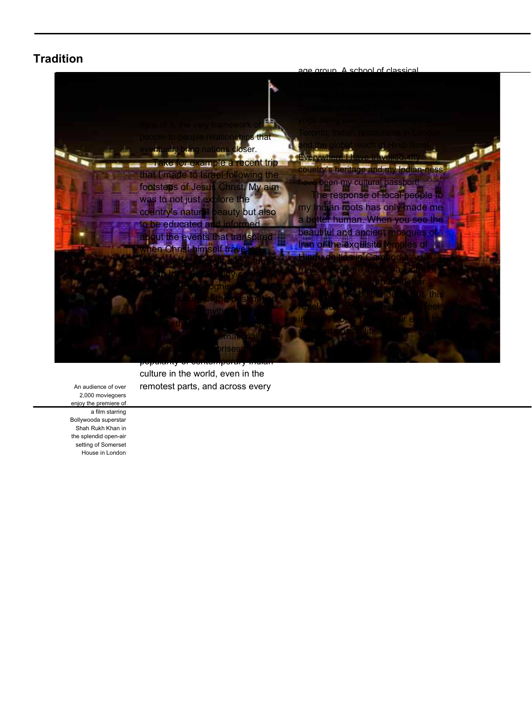## **Tradition**



culture in the world, even in the remotest parts, and across every

An audience of over 2,000 moviegoers enjoy the premiere of a film starring Bollywooda superstar Shah Rukh Khan in the splendid open-air setting of Somerset House in London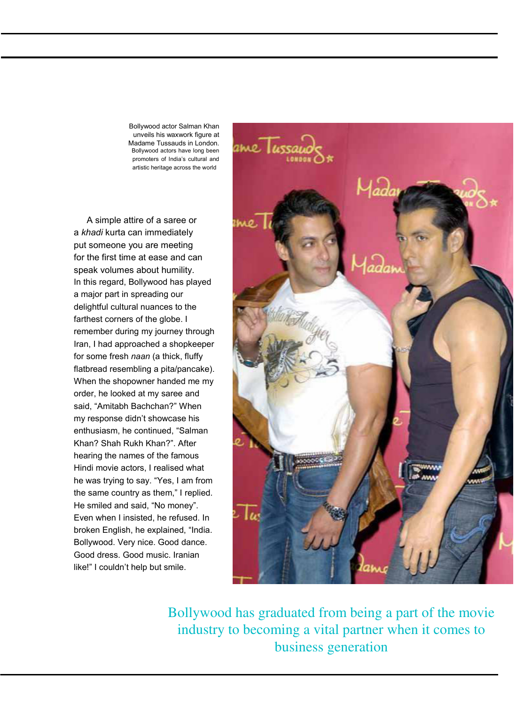Bollywood actor Salman Khan unveils his waxwork figure at Madame Tussauds in London. Bollywood actors have long been promoters of India's cultural and artistic heritage across the world

A simple attire of a saree or a *khadi* kurta can immediately put someone you are meeting for the first time at ease and can speak volumes about humility. In this regard, Bollywood has played a major part in spreading our delightful cultural nuances to the farthest corners of the globe. I remember during my journey through Iran, I had approached a shopkeeper for some fresh *naan* (a thick, fluffy flatbread resembling a pita/pancake). When the shopowner handed me my order, he looked at my saree and said, "Amitabh Bachchan?" When my response didn't showcase his enthusiasm, he continued, "Salman Khan? Shah Rukh Khan?". After hearing the names of the famous Hindi movie actors, I realised what he was trying to say. "Yes, I am from the same country as them," I replied. He smiled and said, "No money". Even when I insisted, he refused. In broken English, he explained, "India. Bollywood. Very nice. Good dance. Good dress. Good music. Iranian like!" I couldn't help but smile.



Bollywood has graduated from being a part of the movie industry to becoming a vital partner when it comes to business generation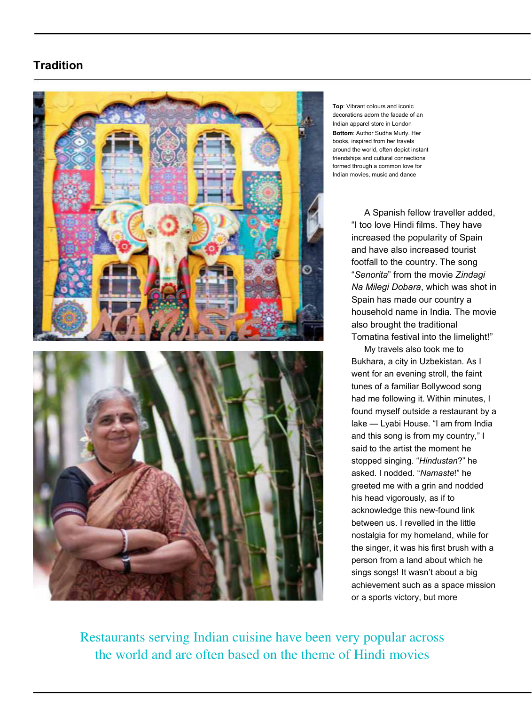## **Tradition**



**Top**: Vibrant colours and iconic decorations adorn the facade of an Indian apparel store in London **Bottom**: Author Sudha Murty. Her books, inspired from her travels around the world, often depict instant friendships and cultural connections formed through a common love for Indian movies, music and dance

A Spanish fellow traveller added, "I too love Hindi films. They have increased the popularity of Spain and have also increased tourist footfall to the country. The song "*Senorita*" from the movie *Zindagi Na Milegi Dobara*, which was shot in Spain has made our country a household name in India. The movie also brought the traditional Tomatina festival into the limelight!"

My travels also took me to Bukhara, a city in Uzbekistan. As I went for an evening stroll, the faint tunes of a familiar Bollywood song had me following it. Within minutes, I found myself outside a restaurant by a lake — Lyabi House. "I am from India and this song is from my country," I said to the artist the moment he stopped singing. "*Hindustan*?" he asked. I nodded. "*Namaste*!" he greeted me with a grin and nodded his head vigorously, as if to acknowledge this new-found link between us. I revelled in the little nostalgia for my homeland, while for the singer, it was his first brush with a person from a land about which he sings songs! It wasn't about a big achievement such as a space mission or a sports victory, but more

Restaurants serving Indian cuisine have been very popular across the world and are often based on the theme of Hindi movies